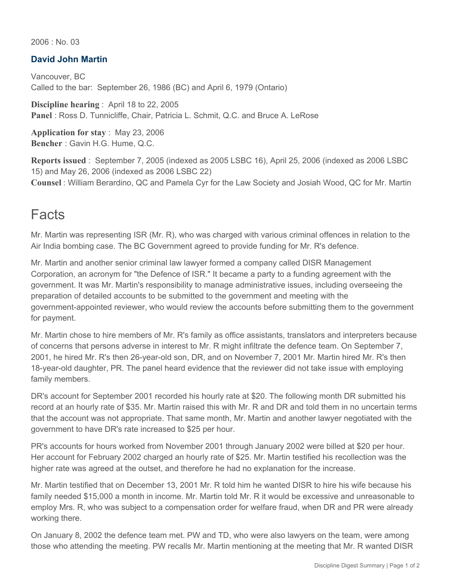2006 : No. 03

#### **David John Martin**

Vancouver, BC Called to the bar: September 26, 1986 (BC) and April 6, 1979 (Ontario)

**Discipline hearing** : April 18 to 22, 2005 **Panel** : Ross D. Tunnicliffe, Chair, Patricia L. Schmit, Q.C. and Bruce A. LeRose

**Application for stay** : May 23, 2006 **Bencher** : Gavin H.G. Hume, Q.C.

**Reports issued** : September 7, 2005 (indexed as 2005 LSBC 16), April 25, 2006 (indexed as 2006 LSBC 15) and May 26, 2006 (indexed as 2006 LSBC 22) **Counsel** : William Berardino, QC and Pamela Cyr for the Law Society and Josiah Wood, QC for Mr. Martin

### **Facts**

Mr. Martin was representing ISR (Mr. R), who was charged with various criminal offences in relation to the Air India bombing case. The BC Government agreed to provide funding for Mr. R's defence.

Mr. Martin and another senior criminal law lawyer formed a company called DISR Management Corporation, an acronym for "the Defence of ISR." It became a party to a funding agreement with the government. It was Mr. Martin's responsibility to manage administrative issues, including overseeing the preparation of detailed accounts to be submitted to the government and meeting with the government-appointed reviewer, who would review the accounts before submitting them to the government for payment.

Mr. Martin chose to hire members of Mr. R's family as office assistants, translators and interpreters because of concerns that persons adverse in interest to Mr. R might infiltrate the defence team. On September 7, 2001, he hired Mr. R's then 26-year-old son, DR, and on November 7, 2001 Mr. Martin hired Mr. R's then 18-year-old daughter, PR. The panel heard evidence that the reviewer did not take issue with employing family members.

DR's account for September 2001 recorded his hourly rate at \$20. The following month DR submitted his record at an hourly rate of \$35. Mr. Martin raised this with Mr. R and DR and told them in no uncertain terms that the account was not appropriate. That same month, Mr. Martin and another lawyer negotiated with the government to have DR's rate increased to \$25 per hour.

PR's accounts for hours worked from November 2001 through January 2002 were billed at \$20 per hour. Her account for February 2002 charged an hourly rate of \$25. Mr. Martin testified his recollection was the higher rate was agreed at the outset, and therefore he had no explanation for the increase.

Mr. Martin testified that on December 13, 2001 Mr. R told him he wanted DISR to hire his wife because his family needed \$15,000 a month in income. Mr. Martin told Mr. R it would be excessive and unreasonable to employ Mrs. R, who was subject to a compensation order for welfare fraud, when DR and PR were already working there.

On January 8, 2002 the defence team met. PW and TD, who were also lawyers on the team, were among those who attending the meeting. PW recalls Mr. Martin mentioning at the meeting that Mr. R wanted DISR